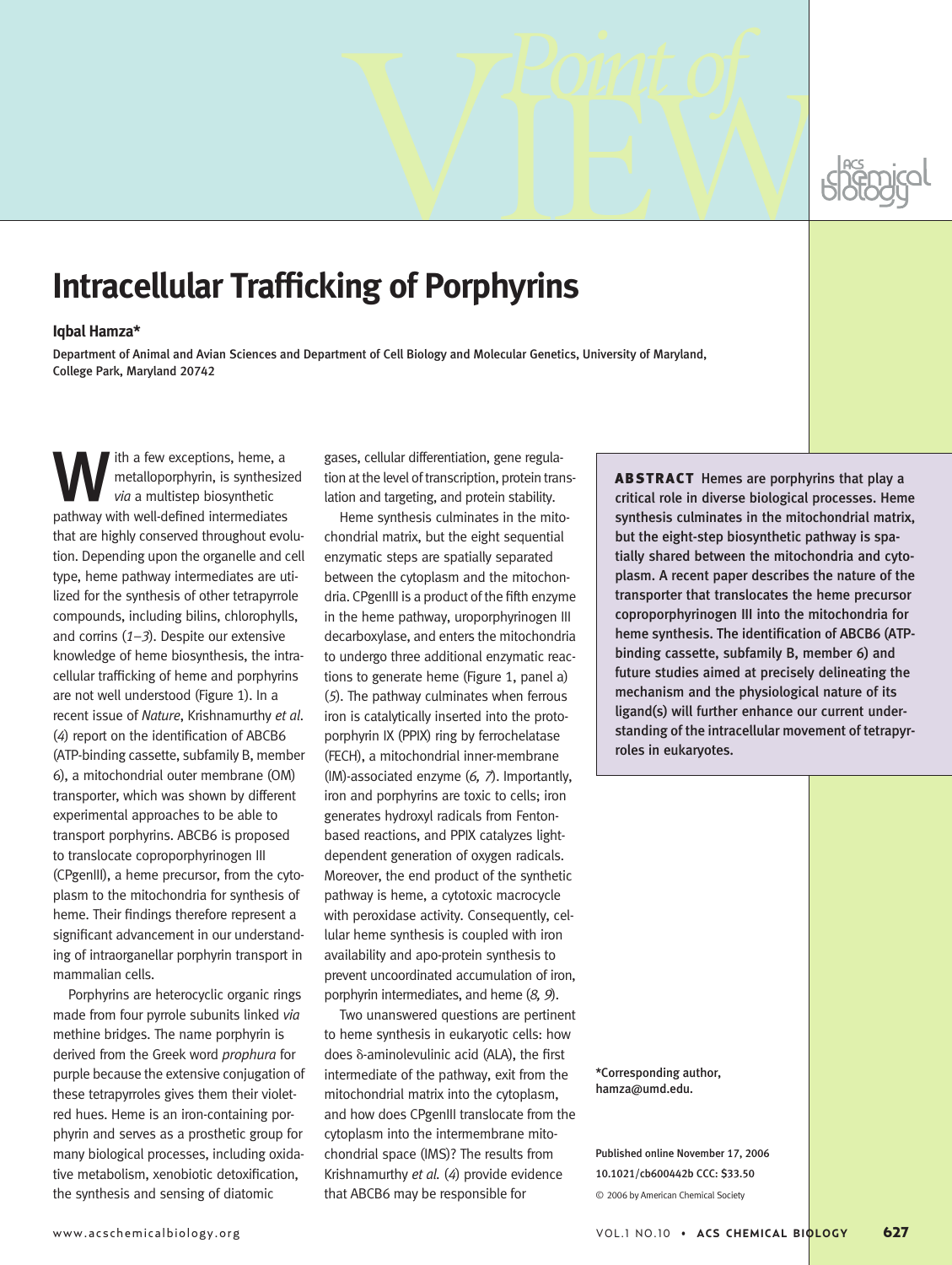# **Intracellular Trafficking of Porphyrins** *Point of* VIEW

## **Iqbal Hamza\***

Department of Animal and Avian Sciences and Department of Cell Biology and Molecular Genetics, University of Maryland, College Park, Maryland 20742

ith a few exceptions, heme, a metalloporphyrin, is synthesized *via* a multistep biosynthetic pathway with well-defined intermediates that are highly conserved throughout evolution. Depending upon the organelle and cell type, heme pathway intermediates are utilized for the synthesis of other tetrapyrrole compounds, including bilins, chlorophylls, and corrins (*1–3*). Despite our extensive knowledge of heme biosynthesis, the intracellular trafficking of heme and porphyrins are not well understood (Figure 1). In a recent issue of *Nature*, Krishnamurthy *et al*. (*4*) report on the identification of ABCB6 (ATP-binding cassette, subfamily B, member 6), a mitochondrial outer membrane (OM) transporter, which was shown by different experimental approaches to be able to transport porphyrins. ABCB6 is proposed to translocate coproporphyrinogen III (CPgenIII), a heme precursor, from the cytoplasm to the mitochondria for synthesis of heme. Their findings therefore represent a significant advancement in our understanding of intraorganellar porphyrin transport in mammalian cells.

Porphyrins are heterocyclic organic rings made from four pyrrole subunits linked *via* methine bridges. The name porphyrin is derived from the Greek word *prophura* for purple because the extensive conjugation of these tetrapyrroles gives them their violetred hues. Heme is an iron-containing porphyrin and serves as a prosthetic group for many biological processes, including oxidative metabolism, xenobiotic detoxification, the synthesis and sensing of diatomic

gases, cellular differentiation, gene regulation at the level of transcription, protein translation and targeting, and protein stability.

Heme synthesis culminates in the mitochondrial matrix, but the eight sequential enzymatic steps are spatially separated between the cytoplasm and the mitochondria. CPgenIII is a product of the fifth enzyme in the heme pathway, uroporphyrinogen III decarboxylase, and enters the mitochondria to undergo three additional enzymatic reactions to generate heme (Figure 1, panel a) (*5*). The pathway culminates when ferrous iron is catalytically inserted into the protoporphyrin IX (PPIX) ring by ferrochelatase (FECH), a mitochondrial inner-membrane (IM)-associated enzyme (*6, 7*). Importantly, iron and porphyrins are toxic to cells; iron generates hydroxyl radicals from Fentonbased reactions, and PPIX catalyzes lightdependent generation of oxygen radicals. Moreover, the end product of the synthetic pathway is heme, a cytotoxic macrocycle with peroxidase activity. Consequently, cellular heme synthesis is coupled with iron availability and apo-protein synthesis to prevent uncoordinated accumulation of iron, porphyrin intermediates, and heme (*8, 9*).

Two unanswered questions are pertinent to heme synthesis in eukaryotic cells: how does  $\delta$ -aminolevulinic acid (ALA), the first intermediate of the pathway, exit from the mitochondrial matrix into the cytoplasm, and how does CPgenIII translocate from the cytoplasm into the intermembrane mitochondrial space (IMS)? The results from Krishnamurthy *et al.* (*4*) provide evidence that ABCB6 may be responsible for

ABSTRACT Hemes are porphyrins that play a critical role in diverse biological processes. Heme synthesis culminates in the mitochondrial matrix, but the eight-step biosynthetic pathway is spatially shared between the mitochondria and cytoplasm. A recent paper describes the nature of the transporter that translocates the heme precursor coproporphyrinogen III into the mitochondria for heme synthesis. The identification of ABCB6 (ATPbinding cassette, subfamily B, member 6) and future studies aimed at precisely delineating the mechanism and the physiological nature of its ligand(s) will further enhance our current understanding of the intracellular movement of tetrapyrroles in eukaryotes.

\*Corresponding author, hamza@umd.edu.

Published online November 17, 2006 10.1021/cb600442b CCC: \$33.50 © 2006 by American Chemical Society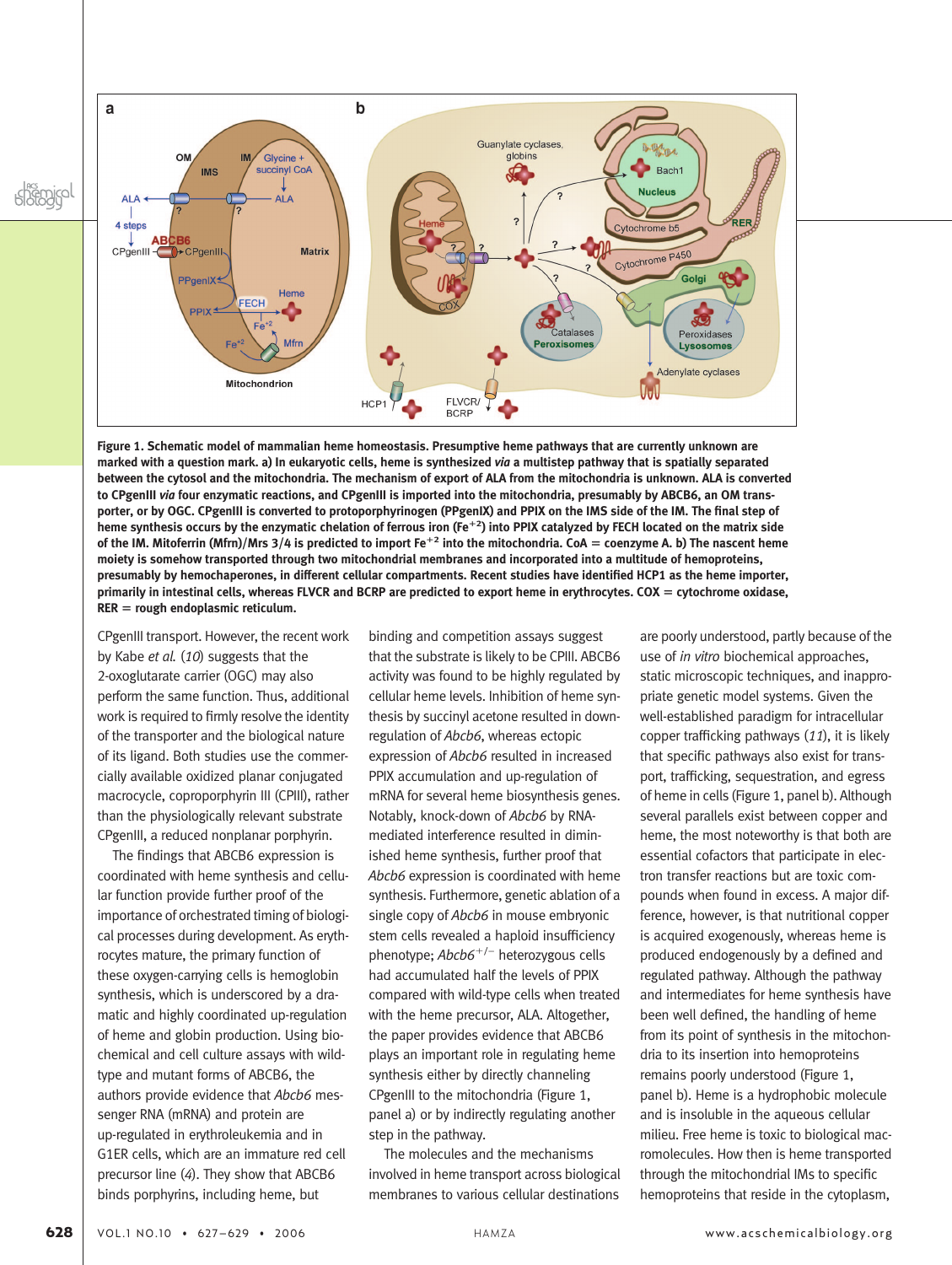



**Figure 1. Schematic model of mammalian heme homeostasis. Presumptive heme pathways that are currently unknown are marked with a question mark. a) In eukaryotic cells, heme is synthesized** *via* **a multistep pathway that is spatially separated between the cytosol and the mitochondria. The mechanism of export of ALA from the mitochondria is unknown. ALA is converted to CPgenIII** *via* **four enzymatic reactions, and CPgenIII is imported into the mitochondria, presumably by ABCB6, an OM transporter, or by OGC. CPgenIII is converted to protoporphyrinogen (PPgenIX) and PPIX on the IMS side of the IM. The final step of heme synthesis occurs by the enzymatic chelation of ferrous iron (Fe<sup>2</sup> ) into PPIX catalyzed by FECH located on the matrix side of the IM. Mitoferrin (Mfrn)/Mrs 3/4 is predicted to import Fe<sup>2</sup> into the mitochondria. CoA** - **coenzyme A. b) The nascent heme moiety is somehow transported through two mitochondrial membranes and incorporated into a multitude of hemoproteins, presumably by hemochaperones, in different cellular compartments. Recent studies have identified HCP1 as the heme importer, primarily in intestinal cells, whereas FLVCR and BCRP are predicted to export heme in erythrocytes. COX** - **cytochrome oxidase, RER** - **rough endoplasmic reticulum.**

CPgenIII transport. However, the recent work by Kabe *et al.* (*10*) suggests that the 2-oxoglutarate carrier (OGC) may also perform the same function. Thus, additional work is required to firmly resolve the identity of the transporter and the biological nature of its ligand. Both studies use the commercially available oxidized planar conjugated macrocycle, coproporphyrin III (CPIII), rather than the physiologically relevant substrate CPgenIII, a reduced nonplanar porphyrin.

The findings that ABCB6 expression is coordinated with heme synthesis and cellular function provide further proof of the importance of orchestrated timing of biological processes during development. As erythrocytes mature, the primary function of these oxygen-carrying cells is hemoglobin synthesis, which is underscored by a dramatic and highly coordinated up-regulation of heme and globin production. Using biochemical and cell culture assays with wildtype and mutant forms of ABCB6, the authors provide evidence that *Abcb6* messenger RNA (mRNA) and protein are up-regulated in erythroleukemia and in G1ER cells, which are an immature red cell precursor line (*4*). They show that ABCB6 binds porphyrins, including heme, but

binding and competition assays suggest that the substrate is likely to be CPIII. ABCB6 activity was found to be highly regulated by cellular heme levels. Inhibition of heme synthesis by succinyl acetone resulted in downregulation of *Abcb6*, whereas ectopic expression of *Abcb6* resulted in increased PPIX accumulation and up-regulation of mRNA for several heme biosynthesis genes. Notably, knock-down of *Abcb6* by RNAmediated interference resulted in diminished heme synthesis, further proof that *Abcb6* expression is coordinated with heme synthesis. Furthermore, genetic ablation of a single copy of *Abcb6* in mouse embryonic stem cells revealed a haploid insufficiency phenotype; *Abcb6*-/– heterozygous cells had accumulated half the levels of PPIX compared with wild-type cells when treated with the heme precursor, ALA. Altogether, the paper provides evidence that ABCB6 plays an important role in regulating heme synthesis either by directly channeling CPgenIII to the mitochondria (Figure 1, panel a) or by indirectly regulating another step in the pathway.

The molecules and the mechanisms involved in heme transport across biological membranes to various cellular destinations

are poorly understood, partly because of the use of *in vitro* biochemical approaches, static microscopic techniques, and inappropriate genetic model systems. Given the well-established paradigm for intracellular copper trafficking pathways (*11*), it is likely that specific pathways also exist for transport, trafficking, sequestration, and egress of heme in cells (Figure 1, panel b). Although several parallels exist between copper and heme, the most noteworthy is that both are essential cofactors that participate in electron transfer reactions but are toxic compounds when found in excess. A major difference, however, is that nutritional copper is acquired exogenously, whereas heme is produced endogenously by a defined and regulated pathway. Although the pathway and intermediates for heme synthesis have been well defined, the handling of heme from its point of synthesis in the mitochondria to its insertion into hemoproteins remains poorly understood (Figure 1, panel b). Heme is a hydrophobic molecule and is insoluble in the aqueous cellular milieu. Free heme is toxic to biological macromolecules. How then is heme transported through the mitochondrial IMs to specific hemoproteins that reside in the cytoplasm,